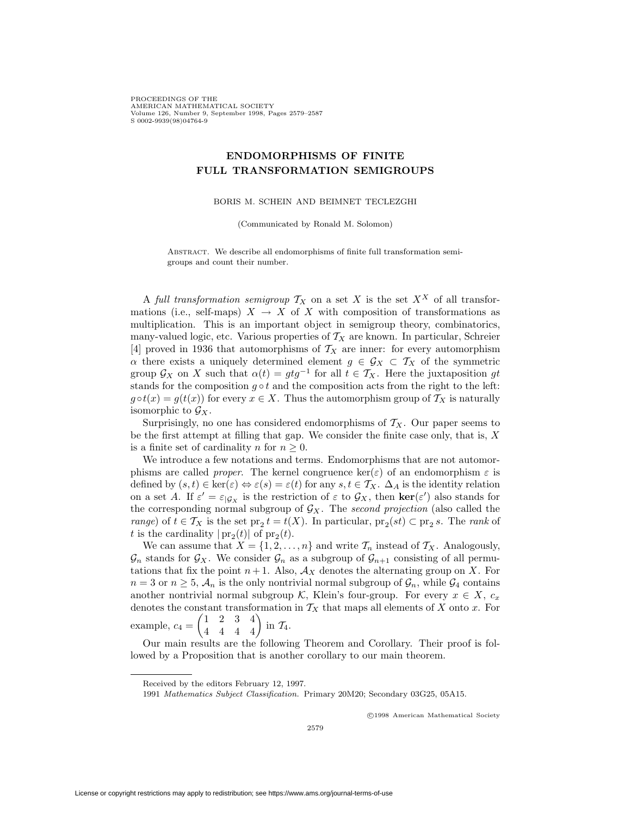PROCEEDINGS OF THE AMERICAN MATHEMATICAL SOCIETY Volume 126, Number 9, September 1998, Pages 2579–2587<br>S.0002-9939(98)04764-9 s 0002-9939(98)

## **ENDOMORPHISMS OF FINITE FULL TRANSFORMATION SEMIGROUPS**

BORIS M. SCHEIN AND BEIMNET TECLEZGHI

(Communicated by Ronald M. Solomon)

Abstract. We describe all endomorphisms of finite full transformation semigroups and count their number.

A *full transformation semigroup*  $\mathcal{T}_X$  on a set *X* is the set  $X^X$  of all transformations (i.e., self-maps)  $X \to X$  of X with composition of transformations as multiplication. This is an important object in semigroup theory, combinatorics, many-valued logic, etc. Various properties of  $\mathcal{T}_X$  are known. In particular, Schreier [4] proved in 1936 that automorphisms of  $\mathcal{T}_X$  are inner: for every automorphism *α* there exists a uniquely determined element  $g \in \mathcal{G}_X \subset \mathcal{T}_X$  of the symmetric group  $\mathcal{G}_X$  on *X* such that  $\alpha(t) = gtg^{-1}$  for all  $t \in \mathcal{T}_X$ . Here the juxtaposition gt stands for the composition  $g \circ t$  and the composition acts from the right to the left:  $g \circ t(x) = g(t(x))$  for every  $x \in X$ . Thus the automorphism group of  $\mathcal{T}_X$  is naturally isomorphic to  $\mathcal{G}_X$ .

Surprisingly, no one has considered endomorphisms of  $T_X$ . Our paper seems to be the first attempt at filling that gap. We consider the finite case only, that is, *X* is a finite set of cardinality *n* for  $n \geq 0$ .

We introduce a few notations and terms. Endomorphisms that are not automorphisms are called *proper*. The kernel congruence  $\ker(\varepsilon)$  of an endomorphism  $\varepsilon$  is defined by  $(s, t) \in \ker(\varepsilon) \Leftrightarrow \varepsilon(s) = \varepsilon(t)$  for any  $s, t \in \mathcal{T}_X$ .  $\Delta_A$  is the identity relation on a set *A*. If  $\varepsilon' = \varepsilon_{|G_X}$  is the restriction of  $\varepsilon$  to  $\mathcal{G}_X$ , then  $\ker(\varepsilon')$  also stands for the corresponding normal subgroup of  $G_X$ . The second projection (also called the the corresponding normal subgroup of  $G_X$ . The *second projection* (also called the *range*) of  $t \in \mathcal{T}_X$  is the set  $\text{pr}_2 t = t(X)$ . In particular,  $\text{pr}_2(st) \subset \text{pr}_2 s$ . The *rank* of *t* is the cardinality  $|pr_2(t)|$  of  $pr_2(t)$ .

We can assume that  $X = \{1, 2, ..., n\}$  and write  $\mathcal{T}_n$  instead of  $\mathcal{T}_X$ . Analogously,  $\mathcal{G}_n$  stands for  $\mathcal{G}_X$ . We consider  $\mathcal{G}_n$  as a subgroup of  $\mathcal{G}_{n+1}$  consisting of all permutations that fix the point  $n+1$ . Also,  $\mathcal{A}_X$  denotes the alternating group on *X*. For  $n = 3$  or  $n \geq 5$ ,  $\mathcal{A}_n$  is the only nontrivial normal subgroup of  $\mathcal{G}_n$ , while  $\mathcal{G}_4$  contains another nontrivial normal subgroup *K*, Klein's four-group. For every  $x \in X$ ,  $c_x$ denotes the constant transformation in  $T_X$  that maps all elements of  $X$  onto  $x$ . For example,  $c_4$  =  $\begin{pmatrix} 1 & 2 & 3 & 4 \\ 4 & 4 & 4 & 4 \end{pmatrix}$  in  $\mathcal{T}_4$ .

Our main results are the following Theorem and Corollary. Their proof is followed by a Proposition that is another corollary to our main theorem.

<sup>c</sup> 1998 American Mathematical Society

Received by the editors February 12, 1997.

<sup>1991</sup> *Mathematics Subject Classification.* Primary 20M20; Secondary 03G25, 05A15.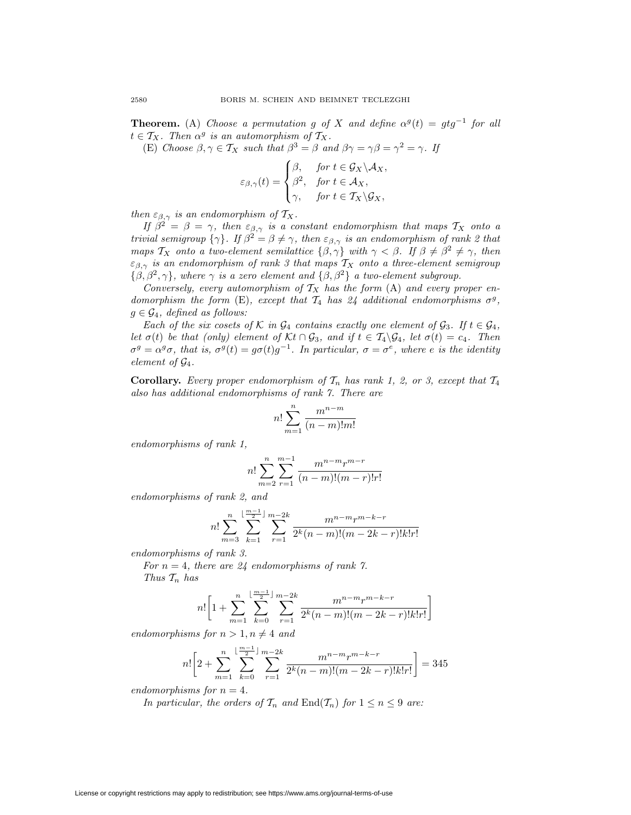**Theorem.** (A) *Choose a permutation g of X and define*  $\alpha^{g}(t) = gtg^{-1}$  *for all*  $t \in T_X$ . *Then*  $\alpha^{g}$  *is an automorphism of*  $T_X$ .  $t \in \mathcal{T}_X$ . Then  $\alpha^g$  *is an automorphism of*  $\mathcal{T}_X$ .<br>
(E) Choose  $\beta \gamma \in \mathcal{T}_X$  such that  $\beta^3 = \beta$  and

(E) *Choose*  $\beta, \gamma \in \mathcal{T}_X$  *such that*  $\beta^3 = \beta$  *and*  $\beta\gamma = \gamma\beta = \gamma^2 = \gamma$ *. If* 

$$
\varepsilon_{\beta,\gamma}(t) = \begin{cases}\n\beta, & \text{for } t \in \mathcal{G}_X \backslash \mathcal{A}_X, \\
\beta^2, & \text{for } t \in \mathcal{A}_X, \\
\gamma, & \text{for } t \in \mathcal{T}_X \backslash \mathcal{G}_X,\n\end{cases}
$$

*then*  $\varepsilon_{\beta,\gamma}$  *is an endomorphism of*  $T_X$ *.* 

*If*  $\beta^2 = \beta = \gamma$ , then  $\varepsilon_{\beta,\gamma}$  *is a constant endomorphism that maps*  $T_X$  *onto a trivial semigroup*  $\{ \gamma \}$ *. If*  $\beta^2 = \beta \neq \gamma$ *, then*  $\varepsilon_{\beta,\gamma}$  *is an endomorphism of rank 2 that maps*  $\mathcal{T}_X$  *onto a two-element semilattice*  $\{\beta, \gamma\}$  *with*  $\gamma < \beta$ *. If*  $\beta \neq \beta^2 \neq \gamma$ *, then <sup>ε</sup>β,γ is an endomorphism of rank 3 that maps <sup>T</sup>X onto a three-element semigroup*  $\{\beta, \beta^2, \gamma\}$ *, where*  $\gamma$  *is a zero element and*  $\{\beta, \beta^2\}$  *a two-element subgroup.* 

*Conversely, every automorphism of*  $T_X$  *has the form*  $(A)$  *and every proper endomorphism the form* (E)*, except that*  $T_4$  *has 24 additional endomorphisms*  $\sigma^g$ *,*  $g \in \mathcal{G}_4$ *, defined as follows:* 

*Each of the six cosets of*  $K$  *in*  $G_4$  *contains exactly one element of*  $G_3$ *. If*  $t \in G_4$ *, let*  $\sigma(t)$  *be that (only) element of*  $Kt \cap G_3$ *, and if*  $t \in T_4 \setminus G_4$ *, let*  $\sigma(t) = c_4$ *. Then*  $\sigma^g = \alpha^g \sigma$ , that is,  $\sigma^g(t) = g \sigma(t) g^{-1}$ . In particular,  $\sigma = \sigma^e$ , where *e* is the identity *element of*  $\mathcal{G}_4$ *.* 

**Corollary.** *Every proper endomorphism of*  $\mathcal{T}_n$  *has rank* 1, 2, or 3, except that  $\mathcal{T}_4$ *also has additional endomorphisms of rank 7. There are*

$$
n! \sum_{m=1}^{n} \frac{m^{n-m}}{(n-m)!m!}
$$

*endomorphisms of rank 1,*

$$
n! \sum_{m=2}^{n} \sum_{r=1}^{m-1} \frac{m^{n-m}r^{m-r}}{(n-m)!(m-r)!r!}
$$

*endomorphisms of rank 2, and*

$$
n! \sum_{m=3}^{n} \sum_{k=1}^{\lfloor \frac{m-1}{2} \rfloor} \sum_{r=1}^{m-2k} \frac{m^{n-m}r^{m-k-r}}{2^k(n-m)!(m-2k-r)!k!r!}
$$

*endomorphisms of rank 3.*

*For*  $n = 4$ *, there are 24 endomorphisms of rank 7. Thus <sup>T</sup>n has*

$$
n! \left[ 1 + \sum_{m=1}^{n} \sum_{k=0}^{\lfloor \frac{m-1}{2} \rfloor} \sum_{r=1}^{m-2k} \frac{m^{n-m}r^{m-k-r}}{2^k (n-m)!(m-2k-r)!k!r!} \right]
$$

*endomorphisms for*  $n > 1, n \neq 4$  *and* 

$$
n! \left[2 + \sum_{m=1}^{n} \sum_{k=0}^{\lfloor \frac{m-1}{2} \rfloor} \sum_{r=1}^{m-2k} \frac{m^{n-m}r^{m-k-r}}{2^k(n-m)!(m-2k-r)!k!r!} \right] = 345
$$

*endomorphisms for*  $n = 4$ *.* 

*In particular, the orders of*  $\mathcal{T}_n$  *and*  $\text{End}(\mathcal{T}_n)$  *for*  $1 \leq n \leq 9$  *are:*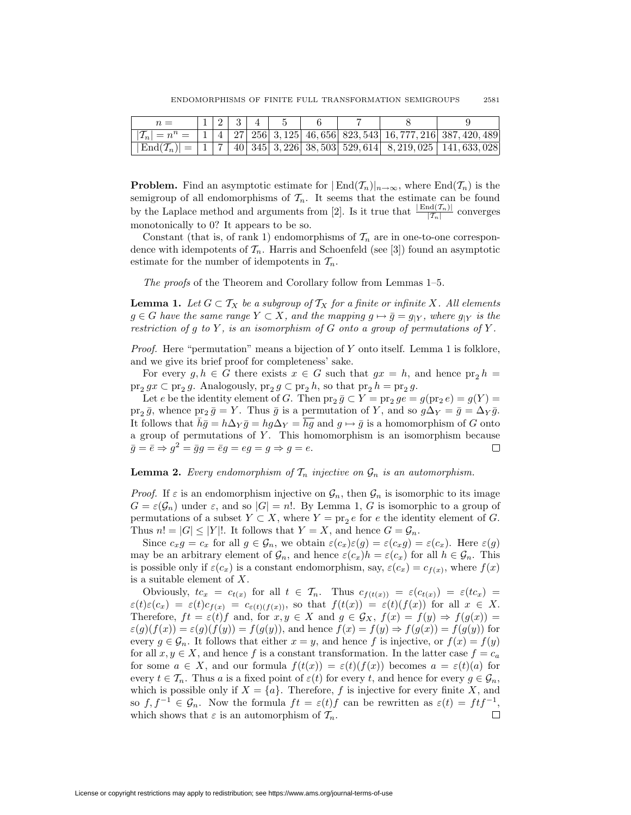| $T_n = n^n = 11427256333254666568235543167772163873420389$<br>$ \text{End}(\mathcal{T}_n)  = 117140345332633535353529614832190251141633028$ |  |  | 112344 |  |  |  |
|---------------------------------------------------------------------------------------------------------------------------------------------|--|--|--------|--|--|--|
|                                                                                                                                             |  |  |        |  |  |  |
|                                                                                                                                             |  |  |        |  |  |  |

**Problem.** Find an asymptotic estimate for  $|End(\mathcal{T}_n)|_{n\to\infty}$ , where  $End(\mathcal{T}_n)$  is the semigroup of all endomorphisms of  $\mathcal{T}_n$ . It seems that the estimate can be found by the Laplace method and arguments from [2]. Is it true that  $\frac{|End(\mathcal{T}_n)|}{|\mathcal{T}_n|}$  converges monotonically to 0? It appears to be so.

Constant (that is, of rank 1) endomorphisms of  $\mathcal{T}_n$  are in one-to-one correspondence with idempotents of  $\mathcal{T}_n$ . Harris and Schoenfeld (see [3]) found an asymptotic estimate for the number of idempotents in  $\mathcal{T}_n$ .

*The proofs* of the Theorem and Corollary follow from Lemmas 1–5.

**Lemma 1.** Let  $G \subset T_X$  be a subgroup of  $T_X$  for a finite or infinite X. All elements *g* ∈ *G have the same range*  $Y \subset X$ *, and the mapping*  $g \mapsto \overline{g} = g|_Y$ *, where*  $g|_Y$  *is the restriction of*  $g$  *to*  $Y$ *, is an isomorphism of*  $G$  *onto a group of permutations of*  $Y$ *.* 

*Proof.* Here "permutation" means a bijection of *Y* onto itself. Lemma 1 is folklore, and we give its brief proof for completeness' sake.

For every  $g, h \in G$  there exists  $x \in G$  such that  $gx = h$ , and hence  $pr_2 h =$  $\operatorname{pr}_2 gx \subset \operatorname{pr}_2 g$ . Analogously,  $\operatorname{pr}_2 g \subset \operatorname{pr}_2 h$ , so that  $\operatorname{pr}_2 h = \operatorname{pr}_2 g$ .

Let *e* be the identity element of *G*. Then  $pr_2 \overline{g} \subset Y = pr_2 ge = g(pr_2 e) = g(Y) =$  $\operatorname{pr}_2 \bar{g}$ , whence  $\operatorname{pr}_2 \bar{g} = Y$ . Thus  $\bar{g}$  is a permutation of *Y*, and so  $g\Delta_Y = \bar{g} = \Delta_Y \bar{g}$ . It follows that  $\bar{h}\bar{g} = h\Delta_Y\bar{g} = hg\Delta_Y = \overline{hg}$  and  $g \mapsto \bar{g}$  is a homomorphism of *G* onto a group of permutations of *Y*. This homomorphism is an isomorphism because  $\overline{g} = \overline{e} \Rightarrow g^2 = \overline{g}g = \overline{e}g = eg = g \Rightarrow g = e$ .  $\bar{g} = \bar{e} \Rightarrow g^2 = \bar{g}g = \bar{e}g = eg = g \Rightarrow g = e.$ 

## **Lemma 2.** *Every endomorphism of*  $\mathcal{T}_n$  *injective on*  $\mathcal{G}_n$  *is an automorphism.*

*Proof.* If  $\varepsilon$  is an endomorphism injective on  $\mathcal{G}_n$ , then  $\mathcal{G}_n$  is isomorphic to its image  $G = \varepsilon(\mathcal{G}_n)$  under  $\varepsilon$ , and so  $|G| = n!$ . By Lemma 1, *G* is isomorphic to a group of permutations of a subset  $Y \subset X$ , where  $Y = \text{pr}_2 e$  for  $e$  the identity element of  $G$ . Thus  $n! = |G| \leq |Y|!$ . It follows that  $Y = X$ , and hence  $G = \mathcal{G}_n$ .

Since  $c_x g = c_x$  for all  $g \in \mathcal{G}_n$ , we obtain  $\varepsilon(c_x)\varepsilon(g) = \varepsilon(c_x g) = \varepsilon(c_x)$ . Here  $\varepsilon(g)$ may be an arbitrary element of  $\mathcal{G}_n$ , and hence  $\varepsilon(c_x)h = \varepsilon(c_x)$  for all  $h \in \mathcal{G}_n$ . This is possible only if  $\varepsilon(c_x)$  is a constant endomorphism, say,  $\varepsilon(c_x) = c_{f(x)}$ , where  $f(x)$ is a suitable element of *X*.

Obviously,  $tc_x = c_{t(x)}$  for all  $t \in \mathcal{T}_n$ . Thus  $c_{f(t(x))} = \varepsilon(c_{t(x)}) = \varepsilon(tc_x)$  $\varepsilon(t)\varepsilon(c_x) = \varepsilon(t)c_{f(x)} = c_{\varepsilon(t)(f(x))}$ , so that  $f(t(x)) = \varepsilon(t)(f(x))$  for all  $x \in X$ . Therefore,  $ft = \varepsilon(t)f$  and, for  $x, y \in X$  and  $g \in \mathcal{G}_X$ ,  $f(x) = f(y) \Rightarrow f(g(x)) = f(x)$  $\varepsilon(g)(f(x)) = \varepsilon(g)(f(y)) = f(g(y)),$  and hence  $f(x) = f(y) \Rightarrow f(g(x)) = f(g(y))$  for every  $g \in \mathcal{G}_n$ . It follows that either  $x = y$ , and hence f is injective, or  $f(x) = f(y)$ for all  $x, y \in X$ , and hence f is a constant transformation. In the latter case  $f = c_a$ for some  $a \in X$ , and our formula  $f(t(x)) = \varepsilon(t)(f(x))$  becomes  $a = \varepsilon(t)(a)$  for every  $t \in \mathcal{T}_n$ . Thus *a* is a fixed point of  $\varepsilon(t)$  for every *t*, and hence for every  $g \in \mathcal{G}_n$ , which is possible only if  $X = \{a\}$ . Therefore,  $f$  is injective for every finite  $X$ , and so  $f, f^{-1} \in \mathcal{G}_n$ . Now the formula  $ft = \varepsilon(t)f$  can be rewritten as  $\varepsilon(t) = f t f^{-1}$ , which shows that  $\varepsilon$  is an automorphism of  $\mathcal{T}_n$ . which shows that  $\varepsilon$  is an automorphism of  $\mathcal{T}_n$ .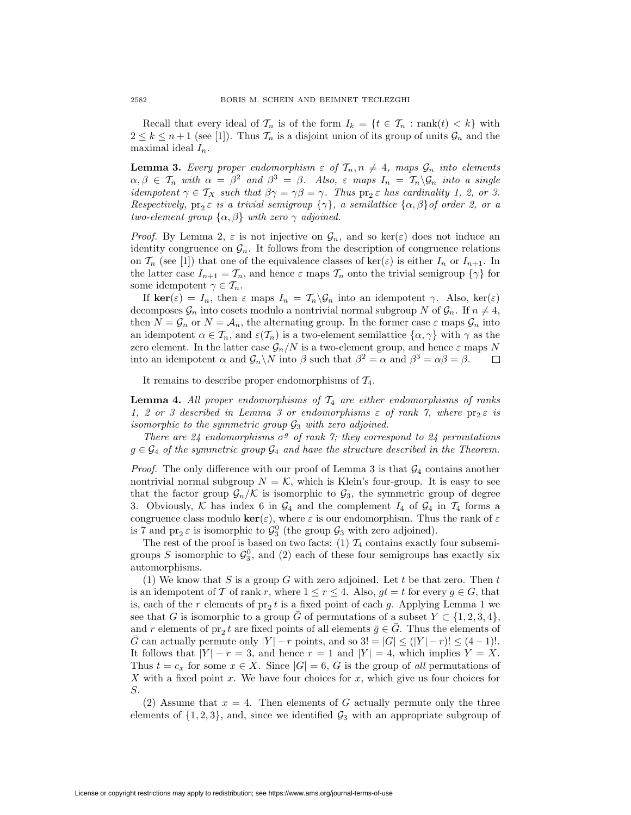Recall that every ideal of  $\mathcal{T}_n$  is of the form  $I_k = \{t \in \mathcal{T}_n : \text{rank}(t) < k\}$  with  $2 \leq k \leq n+1$  (see [1]). Thus  $\mathcal{T}_n$  is a disjoint union of its group of units  $\mathcal{G}_n$  and the maximal ideal *<sup>I</sup>n*.

**Lemma 3.** *Every proper endomorphism*  $\varepsilon$  *of*  $\mathcal{T}_n, n \neq 4$ *, maps*  $\mathcal{G}_n$  *into elements*  $\alpha, \beta \in \mathcal{T}_n$  *with*  $\alpha = \beta^2$  *and*  $\beta^3 = \beta$ *. Also,*  $\varepsilon$  *maps*  $I_n = \mathcal{T}_n \backslash \mathcal{G}_n$  *into a single idempotent*  $\gamma \in \mathcal{T}_X$  *such that*  $\beta \gamma = \gamma \beta = \gamma$ . Thus  $pr_2 \varepsilon$  *has cardinality 1, 2, or 3. Respectively,*  $pr_2 \varepsilon$  *is a trivial semigroup*  $\{\gamma\}$ *, a semilattice*  $\{\alpha, \beta\}$ *of order 2, or a two-element group*  $\{\alpha, \beta\}$  *with zero*  $\gamma$  *adjoined.* 

*Proof.* By Lemma 2,  $\varepsilon$  is not injective on  $\mathcal{G}_n$ , and so ker( $\varepsilon$ ) does not induce an identity congruence on  $\mathcal{G}_n$ . It follows from the description of congruence relations on  $\mathcal{T}_n$  (see [1]) that one of the equivalence classes of ker( $\varepsilon$ ) is either  $I_n$  or  $I_{n+1}$ . In the latter case  $I_{n+1} = \mathcal{T}_n$ , and hence  $\varepsilon$  maps  $\mathcal{T}_n$  onto the trivial semigroup  $\{\gamma\}$  for some idempotent  $\gamma \in \mathcal{T}_n$ .

If  $\ker(\varepsilon) = I_n$ , then  $\varepsilon$  maps  $I_n = \mathcal{T}_n \backslash \mathcal{G}_n$  into an idempotent  $\gamma$ . Also,  $\ker(\varepsilon)$ decomposes  $\mathcal{G}_n$  into cosets modulo a nontrivial normal subgroup *N* of  $\mathcal{G}_n$ . If  $n \neq 4$ , then  $N = \mathcal{G}_n$  or  $N = \mathcal{A}_n$ , the alternating group. In the former case  $\varepsilon$  maps  $\mathcal{G}_n$  into an idempotent  $\alpha \in \mathcal{T}_n$ , and  $\varepsilon(\mathcal{T}_n)$  is a two-element semilattice  $\{\alpha, \gamma\}$  with  $\gamma$  as the zero element. In the latter case  $\mathcal{G}_n/N$  is a two-element group, and hence  $\varepsilon$  maps *N* into an idempotent  $\alpha$  and  $\mathcal{G}_n\backslash N$  into  $\beta$  such that  $\beta^2 = \alpha$  and  $\beta^3 = \alpha\beta = \beta$ . into an idempotent  $\alpha$  and  $\mathcal{G}_n \backslash N$  into  $\beta$  such that  $\beta^2 = \alpha$  and  $\beta^3 = \alpha \beta = \beta$ .

It remains to describe proper endomorphisms of *T*4.

**Lemma 4.** *All proper endomorphisms of T*<sup>4</sup> *are either endomorphisms of ranks* 1, 2 or 3 described in Lemma 3 or endomorphisms  $\varepsilon$  of rank 7, where  $pr_2 \varepsilon$  *is isomorphic to the symmetric group G*<sup>3</sup> *with zero adjoined.*

*There are 24 endomorphisms*  $\sigma^g$  *of rank 7; they correspond to 24 permutations*  $g \in \mathcal{G}_4$  *of the symmetric group*  $\mathcal{G}_4$  *and have the structure described in the Theorem.* 

*Proof.* The only difference with our proof of Lemma 3 is that  $\mathcal{G}_4$  contains another nontrivial normal subgroup  $N = \mathcal{K}$ , which is Klein's four-group. It is easy to see that the factor group  $\mathcal{G}_n/\mathcal{K}$  is isomorphic to  $\mathcal{G}_3$ , the symmetric group of degree 3. Obviously,  $\mathcal K$  has index 6 in  $\mathcal G_4$  and the complement  $I_4$  of  $\mathcal G_4$  in  $\mathcal T_4$  forms a congruence class modulo  $\ker(\varepsilon)$ , where  $\varepsilon$  is our endomorphism. Thus the rank of  $\varepsilon$ is 7 and  $pr_2 \varepsilon$  is isomorphic to  $\mathcal{G}_3^0$  (the group  $\mathcal{G}_3$  with zero adjoined).<br>The rest of the proof is based on two facts: (1)  $\mathcal{T}_c$  contains exactly

The rest of the proof is based on two facts:  $(1)$   $\mathcal{T}_4$  contains exactly four subsemigroups *S* isomorphic to  $\mathcal{G}_3^0$ , and (2) each of these four semigroups has exactly six automorphisms.

(1) We know that *S* is a group *G* with zero adjoined. Let *t* be that zero. Then *t* is an idempotent of *T* of rank *r*, where  $1 \leq r \leq 4$ . Also,  $qt = t$  for every  $q \in G$ , that is, each of the *r* elements of  $pr_2 t$  is a fixed point of each *g*. Applying Lemma 1 we see that *G* is isomorphic to a group  $\overline{G}$  of permutations of a subset  $Y \subset \{1, 2, 3, 4\}$ , and *r* elements of pr<sub>2</sub> *t* are fixed points of all elements  $\bar{g} \in \bar{G}$ . Thus the elements of  $\overline{G}$  can actually permute only  $|Y| - r$  points, and so  $3! = |G| \leq (|Y| - r)! \leq (4-1)!$ . It follows that  $|Y| - r = 3$ , and hence  $r = 1$  and  $|Y| = 4$ , which implies  $Y = X$ . Thus  $t = c_x$  for some  $x \in X$ . Since  $|G| = 6$ , G is the group of *all* permutations of *X* with a fixed point *x*. We have four choices for *x*, which give us four choices for *S*.

(2) Assume that  $x = 4$ . Then elements of G actually permute only the three elements of  $\{1, 2, 3\}$ , and, since we identified  $\mathcal{G}_3$  with an appropriate subgroup of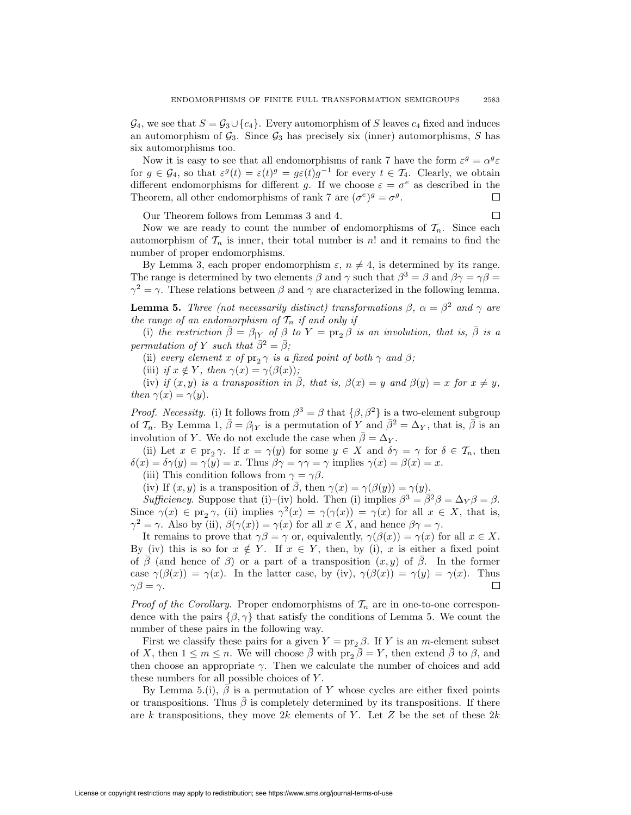$\mathcal{G}_4$ , we see that  $S = \mathcal{G}_3 \cup \{c_4\}$ . Every automorphism of *S* leaves  $c_4$  fixed and induces an automorphism of  $\mathcal{G}_3$ . Since  $\mathcal{G}_3$  has precisely six (inner) automorphisms, *S* has six automorphisms too.

Now it is easy to see that all endomorphisms of rank 7 have the form  $\varepsilon^g = \alpha^g \varepsilon$ <br> $g \in G$ , so that  $\varepsilon^g f(x) = \varepsilon^f (x)g(x) = a\varepsilon^f (x)g(x)$  for every  $t \in \mathcal{T}$ . Clearly we obtain for  $g \in G_4$ , so that  $\varepsilon^g(t) = \varepsilon(t)^g = g\varepsilon(t)g^{-1}$  for every  $t \in \mathcal{T}_4$ . Clearly, we obtain different endomorphisms for different a If we choose  $\varepsilon = \sigma^e$  as described in the different endomorphisms for different *g*. If we choose  $\varepsilon = \sigma^e$  as described in the Theorem all other endomorphisms of rank 7 are  $(\sigma^e)g = \sigma^g$ Theorem, all other endomorphisms of rank 7 are  $(\sigma^e)^g = \sigma^g$ .

Our Theorem follows from Lemmas 3 and 4.

$$
\Box
$$

Now we are ready to count the number of endomorphisms of  $\mathcal{T}_n$ . Since each automorphism of  $\mathcal{T}_n$  is inner, their total number is  $n!$  and it remains to find the number of proper endomorphisms.

By Lemma 3, each proper endomorphism  $\varepsilon$ ,  $n \neq 4$ , is determined by its range. The range is determined by two elements  $\beta$  and  $\gamma$  such that  $\beta^3 = \beta$  and  $\beta\gamma = \gamma\beta =$  $\gamma^2 = \gamma$ . These relations between  $\beta$  and  $\gamma$  are characterized in the following lemma.

**Lemma 5.** *Three (not necessarily distinct) transformations*  $\beta$ ,  $\alpha = \beta^2$  *and*  $\gamma$  *are the range of an endomorphism of*  $\mathcal{T}_n$  *if and only if* 

(i) the restriction  $\bar{\beta} = \beta_{|Y}$  of  $\beta$  to  $Y = \text{pr}_2 \beta$  is an involution, that is,  $\bar{\beta}$  is a *permutation of Y such that*  $\bar{\beta}^2 = \bar{\beta}$ ;

(ii) *every element x of*  $pr_2 \gamma$  *is a fixed point of both*  $\gamma$  *and*  $\beta$ ;

(iii) *if*  $x \notin Y$ *, then*  $\gamma(x) = \gamma(\beta(x))$ *;* 

(iv) *if*  $(x, y)$  *is a transposition in*  $\overline{\beta}$ *, that is,*  $\beta(x) = y$  *and*  $\beta(y) = x$  *for*  $x \neq y$ *, then*  $\gamma(x) = \gamma(y)$ *.* 

*Proof. Necessity.* (i) It follows from  $\beta^3 = \beta$  that  $\{\beta, \beta^2\}$  is a two-element subgroup of  $\mathcal{T}_n$ . By Lemma 1,  $\bar{\beta} = \beta_{|Y|}$  is a permutation of *Y* and  $\bar{\beta}^2 = \Delta_Y$ , that is,  $\bar{\beta}$  is an involution of *Y*. We do not exclude the case when  $\bar{\beta} = \Delta_Y$ .

(ii) Let  $x \in \text{pr}_2 \gamma$ . If  $x = \gamma(y)$  for some  $y \in X$  and  $\delta \gamma = \gamma$  for  $\delta \in \mathcal{T}_n$ , then  $\delta(x) = \delta\gamma(y) = \gamma(y) = x$ . Thus  $\beta\gamma = \gamma\gamma = \gamma$  implies  $\gamma(x) = \beta(x) = x$ .

(iii) This condition follows from  $\gamma = \gamma \beta$ .

(iv) If  $(x, y)$  is a transposition of  $\overline{\beta}$ , then  $\gamma(x) = \gamma(\beta(y)) = \gamma(y)$ .

*Sufficiency*. Suppose that (i)–(iv) hold. Then (i) implies  $\beta^3 = \bar{\beta}^2 \beta = \Delta_Y \beta = \beta$ . Since  $\gamma(x) \in \text{pr}_2 \gamma$ , (ii) implies  $\gamma^2(x) = \gamma(\gamma(x)) = \gamma(x)$  for all  $x \in X$ , that is,  $\gamma^2 = \gamma$ . Also by (ii),  $\beta(\gamma(x)) = \gamma(x)$  for all  $x \in X$ , and hence  $\beta \gamma = \gamma$ .

It remains to prove that  $\gamma\beta = \gamma$  or, equivalently,  $\gamma(\beta(x)) = \gamma(x)$  for all  $x \in X$ . By (iv) this is so for  $x \notin Y$ . If  $x \in Y$ , then, by (i),  $x$  is either a fixed point of  $\beta$  (and hence of  $\beta$ ) or a part of a transposition  $(x, y)$  of  $\beta$ . In the former case  $\gamma(\beta(x)) = \gamma(x)$ . In the latter case, by (iv),  $\gamma(\beta(x)) = \gamma(y) = \gamma(x)$ . Thus  $\gamma\beta = \gamma$ .  $\gamma\beta = \gamma$ .

*Proof of the Corollary.* Proper endomorphisms of  $\mathcal{T}_n$  are in one-to-one correspondence with the pairs  $\{\beta, \gamma\}$  that satisfy the conditions of Lemma 5. We count the number of these pairs in the following way.

First we classify these pairs for a given  $Y = \text{pr}_2 \beta$ . If *Y* is an *m*-element subset of *X*, then  $1 \leq m \leq n$ . We will choose  $\bar{\beta}$  with  $pr_2 \bar{\beta} = Y$ , then extend  $\bar{\beta}$  to  $\beta$ , and then choose an appropriate  $\gamma$ . Then we calculate the number of choices and add these numbers for all possible choices of *Y* .

By Lemma 5.(i),  $\bar{\beta}$  is a permutation of *Y* whose cycles are either fixed points or transpositions. Thus  $\bar{\beta}$  is completely determined by its transpositions. If there are *k* transpositions, they move 2*k* elements of *Y* . Let *Z* be the set of these 2*k*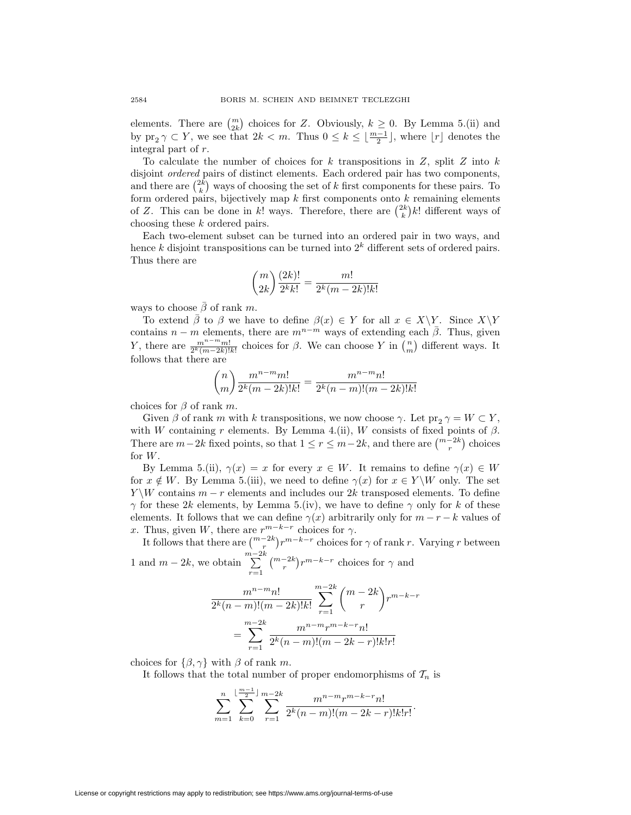elements. There are  $\binom{m}{2k}$  choices for *Z*. Obviously,  $k \geq 0$ . By Lemma 5.(ii) and by  $pr_2 \gamma \subset Y$ , we see that  $2k < m$ . Thus  $0 \le k \le \lfloor \frac{m-1}{2} \rfloor$ , where  $\lfloor r \rfloor$  denotes the integral part of r integral part of *r*.

To calculate the number of choices for *k* transpositions in *Z*, split *Z* into *k* disjoint *ordered* pairs of distinct elements. Each ordered pair has two components, and there are  $\binom{2k}{k}$  ways of choosing the set of *k* first components for these pairs. To<br>form ordered pairs, bijectively map *k* first components onto *k* remaining elements form ordered pairs, bijectively map *k* first components onto *k* remaining elements<br>of  $Z$ . This can be done in *k*, ways. Therefore, there are  $\binom{2k}{k}$  *k*, different ways of of *Z*. This can be done in *k*! ways. Therefore, there are  $\binom{2k}{k}k!$  different ways of choosing these *k* ordered pairs choosing these *k* ordered pairs.

Each two-element subset can be turned into an ordered pair in two ways, and hence *<sup>k</sup>* disjoint transpositions can be turned into 2*<sup>k</sup>* different sets of ordered pairs. Thus there are

$$
\binom{m}{2k} \frac{(2k)!}{2^k k!} = \frac{m!}{2^k (m-2k)! k!}
$$

ways to choose  $\bar{\beta}$  of rank *m*.

To extend  $\bar{\beta}$  to  $\beta$  we have to define  $\beta(x) \in Y$  for all  $x \in X \backslash Y$ . Since  $X \backslash Y$ contains  $n - m$  elements, there are  $m^{n-m}$  ways of extending each  $\overline{\beta}$ . Thus, given *Y*, there are  $\frac{m^{n-m}m!}{2^k(m-2k)!k!}$  choices for *β*. We can choose *Y* in  $\binom{n}{m}$  follows that there are ) different ways. It follows that there are

$$
\binom{n}{m} \frac{m^{n-m}m!}{2^k(m-2k)!k!} = \frac{m^{n-m}n!}{2^k(n-m)!(m-2k)!k!}
$$

choices for  $\beta$  of rank *m*.<br>Civen  $\beta$  of rank *m* wi

Given  $\beta$  of rank *m* with *k* transpositions, we now choose  $\gamma$ . Let  $pr_2 \gamma = W \subset Y$ , with *W* containing *r* elements. By Lemma 4.(ii), *W* consists of fixed points of  $\beta$ . There are  $m-2k$  fixed points, so that  $1 \leq r \leq m-2k$ , and there are  $\binom{m-2k}{r}$  choices for *W*.

By Lemma 5.(ii),  $\gamma(x) = x$  for every  $x \in W$ . It remains to define  $\gamma(x) \in W$ for  $x \notin W$ . By Lemma 5.(iii), we need to define  $\gamma(x)$  for  $x \in Y\backslash W$  only. The set *Y*  $\setminus$ *W* contains *m* − *r* elements and includes our 2*k* transposed elements. To define *γ* for these 2*k* elements, by Lemma 5.(iv), we have to define *γ* only for *k* of these elements. It follows that we can define *γ*(*x*) arbitrarily only for  $m - r - k$  values of elements. It follows that we can define  $\gamma(x)$  arbitrarily only for  $m - r - k$  values of  $r$ . Thus given  $W$  there are  $r^{m-k-r}$  choices for  $\gamma$ .

*x*. Thus, given *W*, there are  $r^{m-k-r}$  choices for  $\gamma$ .<br>It follows that there are  $\binom{m-2k}{r}r^{m-k-r}$  choices for  $\int r^{m-k-r}$  choices for *γ* of rank *r*. Varying *r* between 1 and  $m - 2k$ , we obtain  $\sum_{r=1}^{m-2k}$ *m−*2*k r*  $\int r^{m-k-r}$  choices for *γ* and

$$
\frac{m^{n-m}n!}{2^k(n-m)!(m-2k)!k!} \sum_{r=1}^{m-2k} {m-2k \choose r} r^{m-k-r}
$$

$$
= \sum_{r=1}^{m-2k} \frac{m^{n-m}r^{m-k-r}n!}{2^k(n-m)!(m-2k-r)!k!r!}
$$

choices for  $\{\beta, \gamma\}$  with  $\beta$  of rank *m*.

It follows that the total number of proper endomorphisms of  $\mathcal{T}_n$  is

$$
\sum_{m=1}^{n} \sum_{k=0}^{\lfloor \frac{m-1}{2} \rfloor} \sum_{r=1}^{m-2k} \frac{m^{n-m}r^{m-k-r}n!}{2^k(n-m)!(m-2k-r)!k!r!}.
$$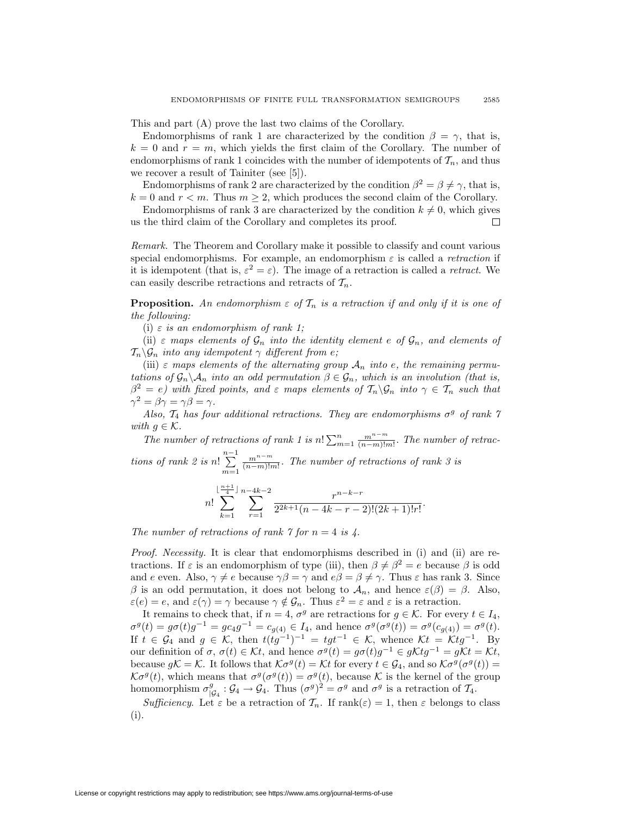This and part (A) prove the last two claims of the Corollary.

Endomorphisms of rank 1 are characterized by the condition  $\beta = \gamma$ , that is,  $k = 0$  and  $r = m$ , which yields the first claim of the Corollary. The number of endomorphisms of rank 1 coincides with the number of idempotents of  $\mathcal{T}_n$ , and thus we recover a result of Tainiter (see [5]).

Endomorphisms of rank 2 are characterized by the condition  $\beta^2 = \beta \neq \gamma$ , that is,  $k = 0$  and  $r < m$ . Thus  $m \geq 2$ , which produces the second claim of the Corollary.

Endomorphisms of rank 3 are characterized by the condition  $k \neq 0$ , which gives the third claim of the Corollary and completes its proof. us the third claim of the Corollary and completes its proof.

*Remark.* The Theorem and Corollary make it possible to classify and count various special endomorphisms. For example, an endomorphism *ε* is called a *retraction* if it is idempotent (that is,  $\varepsilon^2 = \varepsilon$ ). The image of a retraction is called a *retract*. We can easily describe retractions and retracts of  $\mathcal{T}_n$ .

**Proposition.** An endomorphism  $\varepsilon$  of  $\mathcal{T}_n$  is a retraction if and only if it is one of *the following:*

(i) *ε is an endomorphism of rank 1;*

(ii)  $\varepsilon$  *maps elements of*  $\mathcal{G}_n$  *into the identity element*  $e$  *of*  $\mathcal{G}_n$ *, and elements of*  $\mathcal{T}_n \backslash \mathcal{G}_n$  *into any idempotent*  $\gamma$  *different from e;* 

(iii)  $\varepsilon$  *maps elements of the alternating group*  $A_n$  *into*  $e$ *, the remaining permutations of*  $G_n \backslash A_n$  *into an odd permutation*  $\beta \in G_n$ *, which is an involution (that is,*  $\beta^2 = e$ *)* with fixed points, and  $\varepsilon$  *maps elements of*  $\mathcal{T}_n \backslash \mathcal{G}_n$  *into*  $\gamma \in \mathcal{T}_n$  *such that*  $\gamma^2 = \beta \gamma = \gamma \beta = \gamma$ .

*Also, <sup>T</sup>*<sup>4</sup> *has four additional retractions. They are endomorphisms <sup>σ</sup><sup>g</sup> of rank 7 with*  $g \in \mathcal{K}$ *.* 

*The number of retractions of rank 1 is*  $n! \sum_{m=1}^{n} \frac{m^{n-m}}{(n-m)!m!}$ *. The number of retrac-*

*tions of rank 2 is n*! *n*<sup>−1</sup>  $m=1$ *mn*−*<sup>m</sup>* (*n−m*)!*m*! *. The number of retractions of rank 3 is*

$$
n! \sum_{k=1}^{\lfloor \frac{n+1}{4} \rfloor} \sum_{r=1}^{n-4k-2} \frac{r^{n-k-r}}{2^{2k+1}(n-4k-r-2)!(2k+1)!r!}.
$$

*The number of retractions of rank 7 for*  $n = 4$  *is 4.* 

*Proof. Necessity.* It is clear that endomorphisms described in (i) and (ii) are retractions. If  $\varepsilon$  is an endomorphism of type (iii), then  $\beta \neq \beta^2 = e$  because  $\beta$  is odd and *e* even. Also,  $\gamma \neq e$  because  $\gamma \beta = \gamma$  and  $e\beta = \beta \neq \gamma$ . Thus  $\varepsilon$  has rank 3. Since  $\beta$  is an odd permutation, it does not belong to  $\mathcal{A}_n$ , and hence  $\varepsilon(\beta) = \beta$ . Also, *β* is an odd permutation, it does not belong to  $A_n$ , and hence  $\varepsilon(\beta) = \beta$ . Also,  $\varepsilon(e) = e$  and  $\varepsilon(\alpha) = \alpha$  because  $\alpha \notin G$ . Thus  $\varepsilon^2 = \varepsilon$  and  $\varepsilon$  is a retraction  $\varepsilon(e) = e$ , and  $\varepsilon(\gamma) = \gamma$  because  $\gamma \notin \mathcal{G}_n$ . Thus  $\varepsilon^2 = \varepsilon$  and  $\varepsilon$  is a retraction.<br>It remains to check that if  $n - 4$   $\sigma^q$  are retractions for  $a \in \mathcal{K}$ . For even

It remains to check that, if  $n = 4$ ,  $\sigma^g$  are retractions for  $g \in \mathcal{K}$ . For every  $t \in I_4$ ,<br> $g(t) = g\sigma(t)g^{-1} = g\sigma(g^{-1} - g\sigma g) = g(t)g^{-1} + g^{-1}g^{-1}g^{-1}$  $\sigma^g(t) = g\sigma(t)g^{-1} = g c_4 g^{-1} = c_{g(4)} \in I_4$ , and hence  $\sigma^g(\sigma^g(t)) = \sigma^g(c_{g(4)}) = \sigma^g(t)$ .<br>
If  $t \in G$ , and  $g \in K$ , then  $t(tg^{-1})^{-1} = tg^{-1} \in K$ , whence  $Kt = Ktg^{-1}$ . If  $t \in \mathcal{G}_4$  and  $g \in \mathcal{K}$ , then  $t(tg^{-1})^{-1} = tgt^{-1} \in \mathcal{K}$ , whence  $\mathcal{K}t = \mathcal{K}tg^{-1}$ . By our definition of  $\sigma$ ,  $\sigma(t) \in \mathcal{K}t$  and hence  $\sigma^{g}(t) = g\sigma(t)g^{-1} \in gKtg^{-1} - gKt - Kt$ . our definition of  $\sigma$ ,  $\sigma(t) \in \mathcal{K}t$ , and hence  $\sigma^g(t) = g\sigma(t)g^{-1} \in g\mathcal{K}tg^{-1} = g\mathcal{K}t = \mathcal{K}t$ ,<br>hecause  $g\mathcal{K} - \mathcal{K}$ . It follows that  $\mathcal{K}\sigma^g(t) - \mathcal{K}t$  for every  $t \in G$ , and so  $\mathcal{K}\sigma^g(\sigma^g(t))$ . because  $gK = K$ . It follows that  $K\sigma^{g}(t) = Kt$  for every  $t \in \mathcal{G}_4$ , and so  $K\sigma^{g}(\sigma^{g}(t)) =$  $K\sigma^{g}(t)$ , which means that  $\sigma^{g}(\sigma^{g}(t)) = \sigma^{g}(t)$ , because *K* is the kernel of the group homomorphism  $\sigma_{|\mathcal{G}_4}^g : \mathcal{G}_4 \to \mathcal{G}_4$ . Thus  $(\sigma^g)^2 = \sigma^g$  and  $\sigma^g$  is a retraction of  $\mathcal{T}_4$ .

*Sufficiency*. Let  $\varepsilon$  be a retraction of  $\mathcal{T}_n$ . If rank $(\varepsilon) = 1$ , then  $\varepsilon$  belongs to class (i).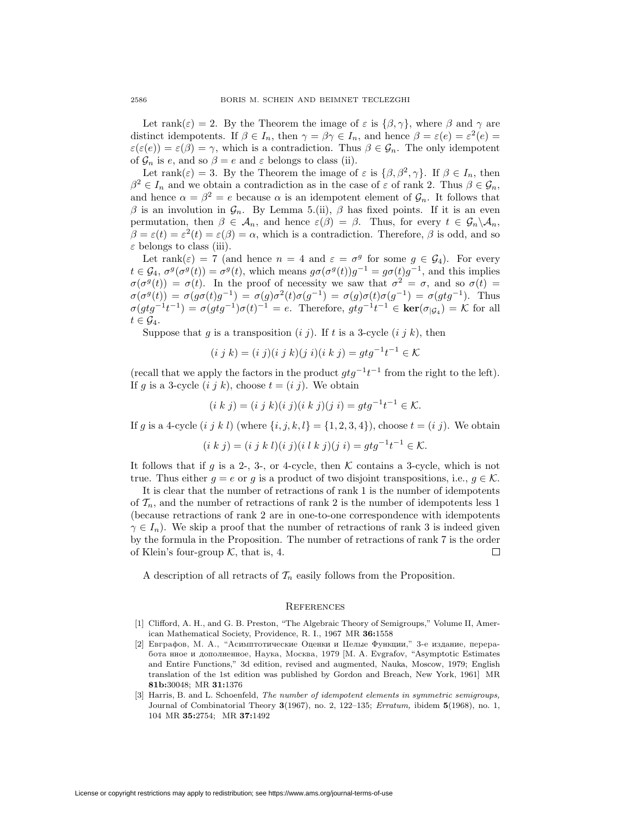Let rank( $\varepsilon$ ) = 2. By the Theorem the image of  $\varepsilon$  is  $\{\beta, \gamma\}$ , where  $\beta$  and  $\gamma$  are distinct idempotents. If  $\beta \in I_n$ , then  $\gamma = \beta \gamma \in I_n$ , and hence  $\beta = \varepsilon(e) = \varepsilon^2(e)$  $\varepsilon(\varepsilon(e)) = \varepsilon(\beta) = \gamma$ , which is a contradiction. Thus  $\beta \in \mathcal{G}_n$ . The only idempotent of  $\mathcal{G}_n$  is *e*, and so  $\beta = e$  and  $\varepsilon$  belongs to class (ii).

Let rank( $\varepsilon$ ) = 3. By the Theorem the image of  $\varepsilon$  is  $\{\beta, \beta^2, \gamma\}$ . If  $\beta \in I_n$ , then  $\beta^2 \in I_n$  and we obtain a contradiction as in the case of  $\varepsilon$  of rank 2. Thus  $\beta \in \mathcal{G}_n$ , and hence  $\alpha = \beta^2 = e$  because  $\alpha$  is an idempotent element of  $\mathcal{G}_n$ . It follows that  $β$  is an involution in  $G_n$ . By Lemma 5.(ii),  $β$  has fixed points. If it is an even permutation, then  $\beta \in \mathcal{A}_n$ , and hence  $\varepsilon(\beta) = \beta$ . Thus, for every  $t \in \mathcal{G}_n \backslash \mathcal{A}_n$ ,  $\beta = \varepsilon(t) = \varepsilon^2(t) = \varepsilon(\beta) = \alpha$ , which is a contradiction. Therefore,  $\beta$  is odd, and so *ε* belongs to class (iii).

Let rank( $\varepsilon$ ) = 7 (and hence  $n = 4$  and  $\varepsilon = \sigma^g$  for some  $g \in \mathcal{G}_4$ ). For every  $t \in G_4$ ,  $\sigma^g(\sigma^g(t)) = \sigma^g(t)$ , which means  $g\sigma(\sigma^g(t))g^{-1} = g\sigma(t)g^{-1}$ , and this implies  $\sigma(\sigma^g(t)) = \sigma(t)$ . In the proof of pecessity we saw that  $\sigma^2 = \sigma$  and so  $\sigma(t) =$  $\sigma(\sigma^g(t)) = \sigma(t)$ . In the proof of necessity we saw that  $\sigma^2 = \sigma$ , and so  $\sigma(t) = \sigma(\sigma^g(t)) = \sigma(\sigma(\sigma^f(\sigma^{-1})) = \sigma(\sigma)\sigma^2(t)\sigma(\sigma^{-1}) = \sigma(\sigma)\sigma(t)\sigma(\sigma^{-1}) = \sigma(\sigma(\sigma^{-1}))$ . Thus  $\sigma(\sigma^g(t)) = \sigma(g\sigma(t)g^{-1}) = \sigma(g)\sigma^2(t)\sigma(g^{-1}) = \sigma(g)\sigma(t)\sigma(g^{-1}) = \sigma(gtg^{-1}).$  Thus<br> $\sigma(\sigma t g^{-1}t^{-1}) = \sigma(\sigma t g^{-1})\sigma(t)^{-1} = e$ . Therefore,  $\sigma t g^{-1}t^{-1} \in \ker(\sigma t g^{-1}) = K$  for all  $\sigma(gtg^{-1}t^{-1}) = \sigma(gtg^{-1})\sigma(t)^{-1} = e.$  Therefore,  $gtg^{-1}t^{-1} \in \ker(\sigma_{|\mathcal{G}_4}) = \mathcal{K}$  for all  $t \in \mathcal{G}$ .  $t \in \mathcal{G}_4$ .

Suppose that *g* is a transposition  $(i j)$ . If *t* is a 3-cycle  $(i j k)$ , then

$$
(i \; j \; k) = (i \; j)(i \; j \; k)(j \; i)(i \; k \; j) = gtg^{-1}t^{-1} \in \mathcal{K}
$$

(recall that we apply the factors in the product  $gtg^{-1}t^{-1}$  from the right to the left). If *g* is a 3-cycle  $(i j k)$ , choose  $t = (i j)$ . We obtain

$$
(i\;k\;j) = (i\;j\;k)(i\;j)(i\;k\;j)(j\;i) = gtg^{-1}t^{-1} \in \mathcal{K}.
$$

If *g* is a 4-cycle  $(i j k l)$  (where  $\{i, j, k, l\} = \{1, 2, 3, 4\}$ ), choose  $t = (i j)$ . We obtain

$$
(i\;k\;j)=(i\;j\;k\;l)(i\;j)(i\;l\;k\;j)(j\;i)=gtg^{-1}t^{-1}\in\mathcal{K}.
$$

It follows that if *g* is a 2-, 3-, or 4-cycle, then  $K$  contains a 3-cycle, which is not true. Thus either  $g = e$  or  $g$  is a product of two disjoint transpositions, i.e.,  $g \in \mathcal{K}$ .

It is clear that the number of retractions of rank 1 is the number of idempotents of  $\mathcal{T}_n$ , and the number of retractions of rank 2 is the number of idempotents less 1 (because retractions of rank 2 are in one-to-one correspondence with idempotents  $\gamma \in I_n$ ). We skip a proof that the number of retractions of rank 3 is indeed given by the formula in the Proposition. The number of retractions of rank 7 is the order of Klein's four-group  $K$ , that is, 4. 口

A description of all retracts of  $\mathcal{T}_n$  easily follows from the Proposition.

- [1] Clifford, A. H., and G. B. Preston, "The Algebraic Theory of Semigroups," Volume II, American Mathematical Society, Providence, R. I., 1967 MR **36:**1558
- [2] Евграфов, М. А., "Асимптотические Оценки и Целые Функции," 3-е издание, перераbota nnoe i dopolnennoe, Nauka, Moskva, 1979 [M. A. Evgrafov, "Asymptotic Estimates and Entire Functions," 3d edition, revised and augmented, Nauka, Moscow, 1979; English translation of the 1st edition was published by Gordon and Breach, New York, 1961] MR **81b:**30048; MR **31:**1376
- [3] Harris, B. and L. Schoenfeld, *The number of idempotent elements in symmetric semigroups,* Journal of Combinatorial Theory **3**(1967), no. 2, 122–135; *Erratum,* ibidem **5**(1968), no. 1, 104 MR **35:**2754; MR **37:**1492